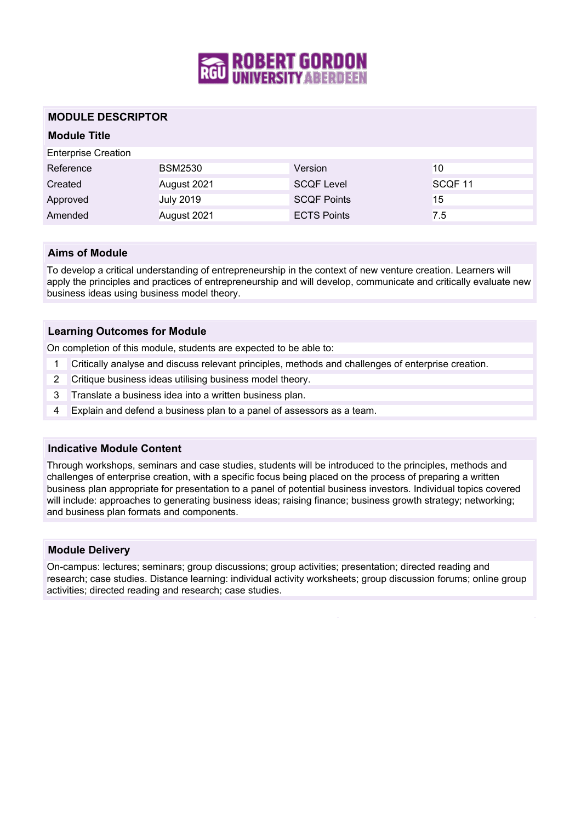

## **MODULE DESCRIPTOR**

## **Module Title**

| <b>Enterprise Creation</b> |                  |                    |         |
|----------------------------|------------------|--------------------|---------|
| Reference                  | <b>BSM2530</b>   | Version            | 10      |
| Created                    | August 2021      | <b>SCQF Level</b>  | SCQF 11 |
| Approved                   | <b>July 2019</b> | <b>SCQF Points</b> | 15      |
| Amended                    | August 2021      | <b>ECTS Points</b> | 7.5     |

### **Aims of Module**

To develop a critical understanding of entrepreneurship in the context of new venture creation. Learners will apply the principles and practices of entrepreneurship and will develop, communicate and critically evaluate new business ideas using business model theory.

### **Learning Outcomes for Module**

On completion of this module, students are expected to be able to:

- 1 Critically analyse and discuss relevant principles, methods and challenges of enterprise creation.
- 2 Critique business ideas utilising business model theory.
- 3 Translate a business idea into a written business plan.
- 4 Explain and defend a business plan to a panel of assessors as a team.

#### **Indicative Module Content**

Through workshops, seminars and case studies, students will be introduced to the principles, methods and challenges of enterprise creation, with a specific focus being placed on the process of preparing a written business plan appropriate for presentation to a panel of potential business investors. Individual topics covered will include: approaches to generating business ideas; raising finance; business growth strategy; networking; and business plan formats and components.

#### **Module Delivery**

On-campus: lectures; seminars; group discussions; group activities; presentation; directed reading and research; case studies. Distance learning: individual activity worksheets; group discussion forums; online group activities; directed reading and research; case studies.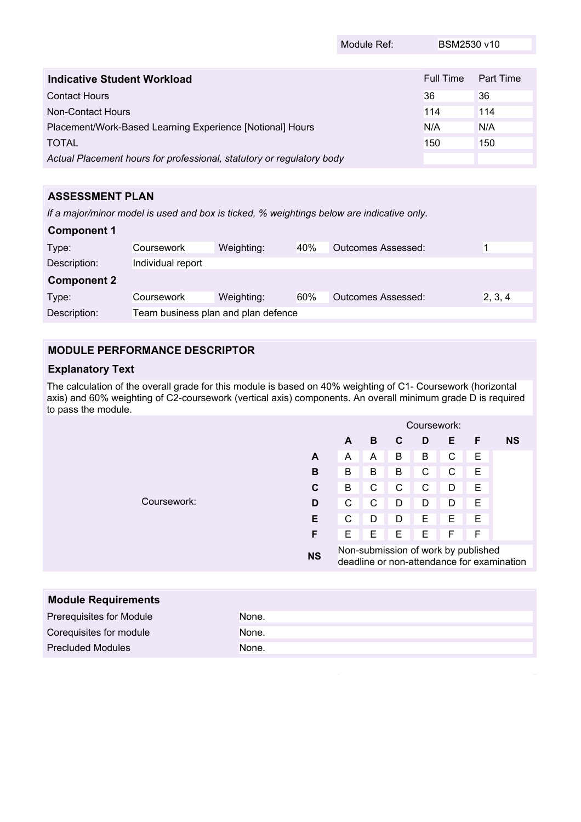|                                                                       | Module Ref: | BSM2530 v10 |           |
|-----------------------------------------------------------------------|-------------|-------------|-----------|
|                                                                       |             |             |           |
| Indicative Student Workload                                           |             | Full Time   | Part Time |
| <b>Contact Hours</b>                                                  |             | 36          | 36        |
| Non-Contact Hours                                                     |             | 114         | 114       |
| Placement/Work-Based Learning Experience [Notional] Hours             |             |             | N/A       |
| <b>TOTAL</b>                                                          |             | 150         | 150       |
| Actual Placement hours for professional, statutory or regulatory body |             |             |           |

# **ASSESSMENT PLAN**

*If a major/minor model is used and box is ticked, % weightings below are indicative only.*

| <b>Component 1</b> |                                     |            |     |                           |         |
|--------------------|-------------------------------------|------------|-----|---------------------------|---------|
| Type:              | Coursework                          | Weighting: | 40% | <b>Outcomes Assessed:</b> |         |
| Description:       | Individual report                   |            |     |                           |         |
| <b>Component 2</b> |                                     |            |     |                           |         |
| Type:              | Coursework                          | Weighting: | 60% | <b>Outcomes Assessed:</b> | 2, 3, 4 |
| Description:       | Team business plan and plan defence |            |     |                           |         |

# **MODULE PERFORMANCE DESCRIPTOR**

# **Explanatory Text**

The calculation of the overall grade for this module is based on 40% weighting of C1- Coursework (horizontal axis) and 60% weighting of C2-coursework (vertical axis) components. An overall minimum grade D is required to pass the module.

|             |           | Coursework:                                                                       |   |   |   |   |   |           |
|-------------|-----------|-----------------------------------------------------------------------------------|---|---|---|---|---|-----------|
|             |           | A                                                                                 | B | C | D | Е | F | <b>NS</b> |
|             | A         | A                                                                                 | A | B | B | С | Е |           |
|             | В         | B                                                                                 | B | B | C | C | E |           |
|             | C         | B                                                                                 | C | C | C | D | Е |           |
| Coursework: | D         | С                                                                                 | C | D | D | D | E |           |
|             | Е         | С                                                                                 | D | D | Е | Е | Е |           |
|             | F         | Е                                                                                 | Ε | Е | Е | F | F |           |
|             | <b>NS</b> | Non-submission of work by published<br>deadline or non-attendance for examination |   |   |   |   |   |           |

| <b>Module Requirements</b> |       |
|----------------------------|-------|
| Prerequisites for Module   | None. |
| Corequisites for module    | None. |
| <b>Precluded Modules</b>   | None. |